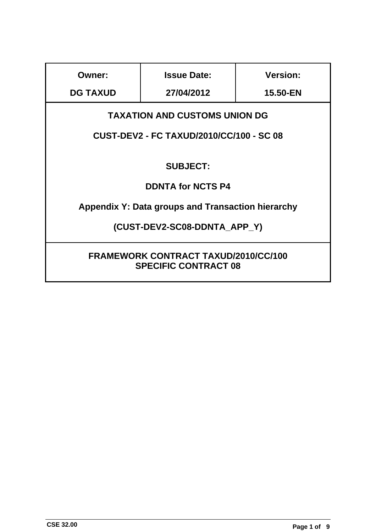| <b>Owner:</b>                                                              | <b>Issue Date:</b> | <b>Version:</b> |
|----------------------------------------------------------------------------|--------------------|-----------------|
| <b>DG TAXUD</b>                                                            | 27/04/2012         | 15.50-EN        |
| <b>TAXATION AND CUSTOMS UNION DG</b>                                       |                    |                 |
| <b>CUST-DEV2 - FC TAXUD/2010/CC/100 - SC 08</b>                            |                    |                 |
| <b>SUBJECT:</b>                                                            |                    |                 |
| <b>DDNTA for NCTS P4</b>                                                   |                    |                 |
| Appendix Y: Data groups and Transaction hierarchy                          |                    |                 |
| (CUST-DEV2-SC08-DDNTA APP Y)                                               |                    |                 |
| <b>FRAMEWORK CONTRACT TAXUD/2010/CC/100</b><br><b>SPECIFIC CONTRACT 08</b> |                    |                 |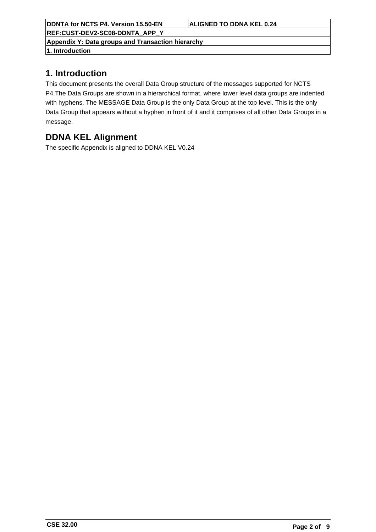**REF:CUST-DEV2-SC08-DDNTA\_APP\_Y**

**Appendix Y: Data groups and Transaction hierarchy**

**1. Introduction**

## **1. Introduction**

This document presents the overall Data Group structure of the messages supported for NCTS P4.The Data Groups are shown in a hierarchical format, where lower level data groups are indented with hyphens. The MESSAGE Data Group is the only Data Group at the top level. This is the only Data Group that appears without a hyphen in front of it and it comprises of all other Data Groups in a message.

# **DDNA KEL Alignment**

The specific Appendix is aligned to DDNA KEL V0.24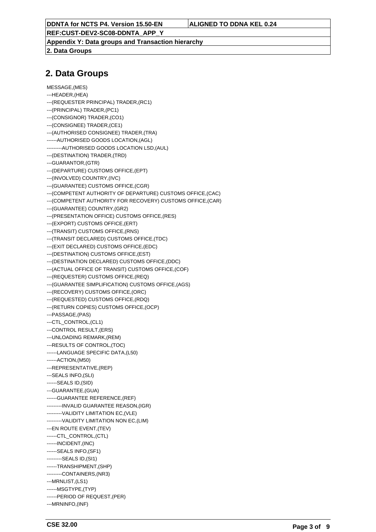**REF:CUST-DEV2-SC08-DDNTA\_APP\_Y**

**Appendix Y: Data groups and Transaction hierarchy**

**2. Data Groups**

### **2. Data Groups**

```
MESSAGE,(MES)
---HEADER,(HEA)
---(REQUESTER PRINCIPAL) TRADER,(RC1)
---(PRINCIPAL) TRADER,(PC1)
---(CONSIGNOR) TRADER,(CO1)
---(CONSIGNEE) TRADER,(CE1)
---(AUTHORISED CONSIGNEE) TRADER,(TRA)
------AUTHORISED GOODS LOCATION,(AGL)
---------AUTHORISED GOODS LOCATION LSD,(AUL)
---(DESTINATION) TRADER,(TRD)
---GUARANTOR,(GTR)
---(DEPARTURE) CUSTOMS OFFICE,(EPT)
---(INVOLVED) COUNTRY,(IVC)
---(GUARANTEE) CUSTOMS OFFICE,(CGR)
---(COMPETENT AUTHORITY OF DEPARTURE) CUSTOMS OFFICE,(CAC)
---(COMPETENT AUTHORITY FOR RECOVERY) CUSTOMS OFFICE,(CAR)
---(GUARANTEE) COUNTRY,(GR2)
---(PRESENTATION OFFICE) CUSTOMS OFFICE,(RES)
---(EXPORT) CUSTOMS OFFICE,(ERT)
---(TRANSIT) CUSTOMS OFFICE,(RNS)
---(TRANSIT DECLARED) CUSTOMS OFFICE,(TDC)
---(EXIT DECLARED) CUSTOMS OFFICE,(EDC)
---(DESTINATION) CUSTOMS OFFICE,(EST)
---(DESTINATION DECLARED) CUSTOMS OFFICE,(DDC)
---(ACTUAL OFFICE OF TRANSIT) CUSTOMS OFFICE,(COF)
---(REQUESTER) CUSTOMS OFFICE,(REQ)
---(GUARANTEE SIMPLIFICATION) CUSTOMS OFFICE,(AGS)
---(RECOVERY) CUSTOMS OFFICE,(ORC)
---(REQUESTED) CUSTOMS OFFICE,(RDQ)
---(RETURN COPIES) CUSTOMS OFFICE,(OCP)
---PASSAGE,(PAS)
---CTL_CONTROL,(CL1)
---CONTROL RESULT,(ERS)
---UNLOADING REMARK,(REM)
---RESULTS OF CONTROL,(TOC)
------LANGUAGE SPECIFIC DATA,(L50)
------ACTION,(M50)
---REPRESENTATIVE,(REP)
---SEALS INFO,(SLI)
------SEALS ID,(SID)
---GUARANTEE,(GUA)
------GUARANTEE REFERENCE,(REF)
---------INVALID GUARANTEE REASON,(IGR)
---------VALIDITY LIMITATION EC,(VLE)
---------VALIDITY LIMITATION NON EC,(LIM)
---EN ROUTE EVENT,(TEV)
------CTL_CONTROL.(CTL)
------INCIDENT,(INC)
------SEALS INFO,(SF1)
---------SEALS ID,(SI1)
------TRANSHIPMENT,(SHP)
---------CONTAINERS,(NR3)
---MRNLIST,(LS1)
------MSGTYPE,(TYP)
------PERIOD OF REQUEST,(PER)
---MRNINFO,(INF)
```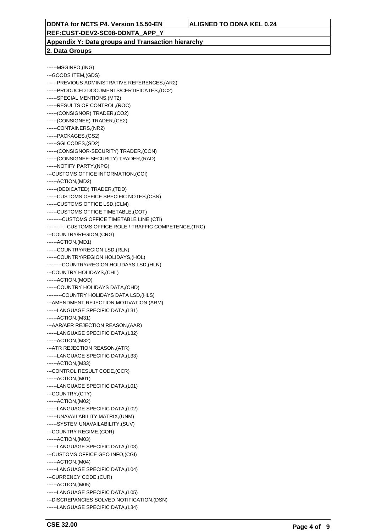**REF:CUST-DEV2-SC08-DDNTA\_APP\_Y**

**Appendix Y: Data groups and Transaction hierarchy 2. Data Groups**

------MSGINFO,(ING) ---GOODS ITEM,(GDS) ------PREVIOUS ADMINISTRATIVE REFERENCES,(AR2) ------PRODUCED DOCUMENTS/CERTIFICATES,(DC2) ------SPECIAL MENTIONS,(MT2) ------RESULTS OF CONTROL,(ROC) ------(CONSIGNOR) TRADER,(CO2) ------(CONSIGNEE) TRADER,(CE2) ------CONTAINERS,(NR2) ------PACKAGES,(GS2) ------SGI CODES,(SD2) ------(CONSIGNOR-SECURITY) TRADER,(CON) ------(CONSIGNEE-SECURITY) TRADER,(RAD) ------NOTIFY PARTY,(NPG) ---CUSTOMS OFFICE INFORMATION,(COI) ------ACTION,(MD2) ------(DEDICATED) TRADER,(TDD) ------CUSTOMS OFFICE SPECIFIC NOTES,(CSN) ------CUSTOMS OFFICE LSD,(CLM) ------CUSTOMS OFFICE TIMETABLE,(COT) ---------CUSTOMS OFFICE TIMETABLE LINE,(CTI) ------------CUSTOMS OFFICE ROLE / TRAFFIC COMPETENCE,(TRC) ---COUNTRY/REGION,(CRG) ------ACTION,(MD1) ------COUNTRY/REGION LSD,(RLN) ------COUNTRY/REGION HOLIDAYS,(HOL) ---------COUNTRY/REGION HOLIDAYS LSD,(HLN) ---COUNTRY HOLIDAYS,(CHL) ------ACTION,(MOD) ------COUNTRY HOLIDAYS DATA,(CHD) ---------COUNTRY HOLIDAYS DATA LSD,(HLS) ---AMENDMENT REJECTION MOTIVATION,(ARM) ------LANGUAGE SPECIFIC DATA,(L31) ------ACTION,(M31) ---AAR/AER REJECTION REASON,(AAR) ------LANGUAGE SPECIFIC DATA,(L32) ------ACTION,(M32) ---ATR REJECTION REASON,(ATR) ------LANGUAGE SPECIFIC DATA,(L33) ------ACTION,(M33) ---CONTROL RESULT CODE,(CCR) ------ACTION,(M01) ------LANGUAGE SPECIFIC DATA,(L01) ---COUNTRY,(CTY) ------ACTION,(M02) ------LANGUAGE SPECIFIC DATA,(L02) ------UNAVAILABILITY MATRIX,(UNM) ------SYSTEM UNAVAILABILITY,(SUV) ---COUNTRY REGIME,(COR) ------ACTION,(M03) ------LANGUAGE SPECIFIC DATA,(L03) ---CUSTOMS OFFICE GEO INFO,(CGI) ------ACTION,(M04) ------LANGUAGE SPECIFIC DATA,(L04) ---CURRENCY CODE,(CUR) ------ACTION,(M05) ------LANGUAGE SPECIFIC DATA,(L05) ---DISCREPANCIES SOLVED NOTIFICATION,(DSN) ------LANGUAGE SPECIFIC DATA,(L34)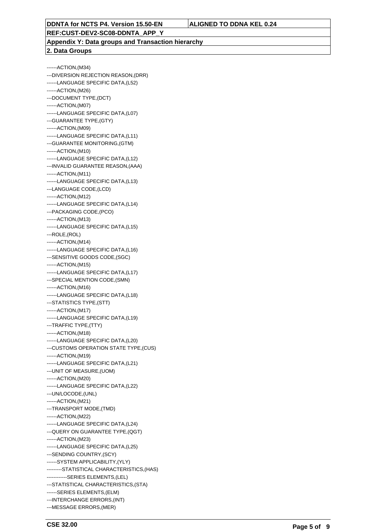**REF:CUST-DEV2-SC08-DDNTA\_APP\_Y**

**Appendix Y: Data groups and Transaction hierarchy 2. Data Groups**

------ACTION,(M34) ---DIVERSION REJECTION REASON,(DRR) ------LANGUAGE SPECIFIC DATA,(L52) ------ACTION,(M26) ---DOCUMENT TYPE,(DCT) ------ACTION,(M07) ------LANGUAGE SPECIFIC DATA,(L07) ---GUARANTEE TYPE,(GTY) ------ACTION,(M09) ------LANGUAGE SPECIFIC DATA,(L11) ---GUARANTEE MONITORING,(GTM) ------ACTION,(M10) ------LANGUAGE SPECIFIC DATA,(L12) ---INVALID GUARANTEE REASON,(AAA) ------ACTION,(M11) ------LANGUAGE SPECIFIC DATA,(L13) ---LANGUAGE CODE,(LCD) ------ACTION,(M12) ------LANGUAGE SPECIFIC DATA,(L14) ---PACKAGING CODE,(PCO) ------ACTION,(M13) ------LANGUAGE SPECIFIC DATA,(L15) ---ROLE,(ROL) ------ACTION,(M14) ------LANGUAGE SPECIFIC DATA,(L16) ---SENSITIVE GOODS CODE,(SGC) ------ACTION,(M15) ------LANGUAGE SPECIFIC DATA,(L17) ---SPECIAL MENTION CODE,(SMN) ------ACTION,(M16) ------LANGUAGE SPECIFIC DATA,(L18) ---STATISTICS TYPE,(STT) ------ACTION,(M17) ------LANGUAGE SPECIFIC DATA,(L19) ---TRAFFIC TYPE,(TTY) ------ACTION,(M18) ------LANGUAGE SPECIFIC DATA,(L20) ---CUSTOMS OPERATION STATE TYPE,(CUS) ------ACTION,(M19) ------LANGUAGE SPECIFIC DATA,(L21) ---UNIT OF MEASURE,(UOM) ------ACTION,(M20) ------LANGUAGE SPECIFIC DATA,(L22) ---UN/LOCODE,(UNL) ------ACTION,(M21) ---TRANSPORT MODE,(TMD) ------ACTION,(M22) ------LANGUAGE SPECIFIC DATA,(L24) ---QUERY ON GUARANTEE TYPE,(QGT) ------ACTION,(M23) ------LANGUAGE SPECIFIC DATA,(L25) ---SENDING COUNTRY, (SCY) ------SYSTEM APPLICABILITY,(YLY) ---------STATISTICAL CHARACTERISTICS,(HAS) ------------SERIES ELEMENTS,(LEL) ---STATISTICAL CHARACTERISTICS,(STA) ------SERIES ELEMENTS,(ELM) ---INTERCHANGE ERRORS,(INT) ---MESSAGE ERRORS,(MER)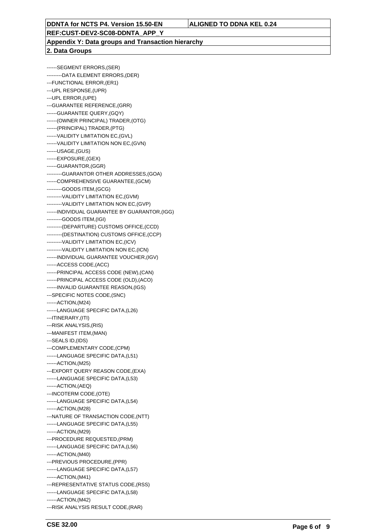**REF:CUST-DEV2-SC08-DDNTA\_APP\_Y**

**Appendix Y: Data groups and Transaction hierarchy 2. Data Groups**

------SEGMENT ERRORS,(SER) ---------DATA ELEMENT ERRORS,(DER) ---FUNCTIONAL ERROR,(ER1) ---UPL RESPONSE,(UPR) ---UPL ERROR,(UPE) ---GUARANTEE REFERENCE,(GRR) ------GUARANTEE QUERY,(GQY) ------(OWNER PRINCIPAL) TRADER,(OTG) ------(PRINCIPAL) TRADER,(PTG) ------VALIDITY LIMITATION EC,(GVL) ------VALIDITY LIMITATION NON EC,(GVN) ------USAGE,(GUS) ------EXPOSURE,(GEX) ------GUARANTOR,(GGR) ---------GUARANTOR OTHER ADDRESSES,(GOA) ------COMPREHENSIVE GUARANTEE,(GCM) ---------GOODS ITEM,(GCG) ---------VALIDITY LIMITATION EC,(GVM) ---------VALIDITY LIMITATION NON EC,(GVP) ------INDIVIDUAL GUARANTEE BY GUARANTOR,(IGG) ---------GOODS ITEM,(IGI) ---------(DEPARTURE) CUSTOMS OFFICE,(CCD) ---------(DESTINATION) CUSTOMS OFFICE,(CCP) ---------VALIDITY LIMITATION EC,(ICV) ---------VALIDITY LIMITATION NON EC,(ICN) ------INDIVIDUAL GUARANTEE VOUCHER,(IGV) ------ACCESS CODE,(ACC) ------PRINCIPAL ACCESS CODE (NEW),(CAN) ------PRINCIPAL ACCESS CODE (OLD),(ACO) ------INVALID GUARANTEE REASON,(IGS) ---SPECIFIC NOTES CODE,(SNC) ------ACTION,(M24) ------LANGUAGE SPECIFIC DATA,(L26) ---ITINERARY,(ITI) ---RISK ANALYSIS,(RIS) ---MANIFEST ITEM,(MAN) ---SEALS ID,(IDS) ---COMPLEMENTARY CODE,(CPM) ------LANGUAGE SPECIFIC DATA,(L51) ------ACTION,(M25) ---EXPORT QUERY REASON CODE,(EXA) ------LANGUAGE SPECIFIC DATA,(L53) ------ACTION,(AEQ) ---INCOTERM CODE,(OTE) ------LANGUAGE SPECIFIC DATA,(L54) ------ACTION,(M28) ---NATURE OF TRANSACTION CODE,(NTT) ------LANGUAGE SPECIFIC DATA,(L55) ------ACTION,(M29) ---PROCEDURE REQUESTED,(PRM) ------LANGUAGE SPECIFIC DATA,(L56) ------ACTION,(M40) ---PREVIOUS PROCEDURE,(PPR) ------LANGUAGE SPECIFIC DATA,(L57) ------ACTION,(M41) ---REPRESENTATIVE STATUS CODE,(RSS) ------LANGUAGE SPECIFIC DATA,(L58) ------ACTION,(M42)

---RISK ANALYSIS RESULT CODE,(RAR)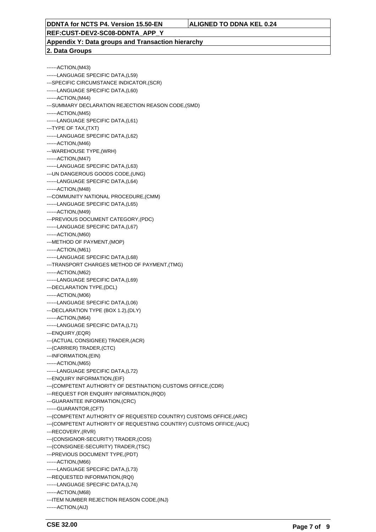**REF:CUST-DEV2-SC08-DDNTA\_APP\_Y**

**Appendix Y: Data groups and Transaction hierarchy 2. Data Groups**

------ACTION,(M43) ------LANGUAGE SPECIFIC DATA,(L59) ---SPECIFIC CIRCUMSTANCE INDICATOR,(SCR) ------LANGUAGE SPECIFIC DATA,(L60) ------ACTION,(M44) ---SUMMARY DECLARATION REJECTION REASON CODE,(SMD) ------ACTION,(M45) ------LANGUAGE SPECIFIC DATA,(L61) ---TYPE OF TAX,(TXT) ------LANGUAGE SPECIFIC DATA,(L62) ------ACTION,(M46) ---WAREHOUSE TYPE,(WRH) ------ACTION,(M47) ------LANGUAGE SPECIFIC DATA,(L63) ---UN DANGEROUS GOODS CODE,(UNG) ------LANGUAGE SPECIFIC DATA,(L64) ------ACTION,(M48) ---COMMUNITY NATIONAL PROCEDURE,(CMM) ------LANGUAGE SPECIFIC DATA,(L65) ------ACTION,(M49) ---PREVIOUS DOCUMENT CATEGORY,(PDC) ------LANGUAGE SPECIFIC DATA,(L67) ------ACTION,(M60) ---METHOD OF PAYMENT,(MOP) ------ACTION,(M61) ------LANGUAGE SPECIFIC DATA,(L68) ---TRANSPORT CHARGES METHOD OF PAYMENT,(TMG) ------ACTION,(M62) ------LANGUAGE SPECIFIC DATA,(L69) ---DECLARATION TYPE,(DCL) ------ACTION,(M06) ------LANGUAGE SPECIFIC DATA,(L06) ---DECLARATION TYPE (BOX 1.2),(DLY) ------ACTION,(M64) ------LANGUAGE SPECIFIC DATA,(L71) ---ENQUIRY,(EQR) ---(ACTUAL CONSIGNEE) TRADER,(ACR) ---(CARRIER) TRADER,(CTC) ---INFORMATION,(EIN) ------ACTION,(M65) ------LANGUAGE SPECIFIC DATA,(L72) ---ENQUIRY INFORMATION,(EIF) ---(COMPETENT AUTHORITY OF DESTINATION) CUSTOMS OFFICE,(CDR) ---REQUEST FOR ENQUIRY INFORMATION,(RQD) ---GUARANTEE INFORMATION,(CRC) ------GUARANTOR,(CFT) ---(COMPETENT AUTHORITY OF REQUESTED COUNTRY) CUSTOMS OFFICE,(ARC) ---(COMPETENT AUTHORITY OF REQUESTING COUNTRY) CUSTOMS OFFICE,(AUC) ---RECOVERY,(RVR) ---(CONSIGNOR-SECURITY) TRADER,(COS) ---(CONSIGNEE-SECURITY) TRADER,(TSC) ---PREVIOUS DOCUMENT TYPE,(PDT) ------ACTION,(M66) ------LANGUAGE SPECIFIC DATA,(L73) ---REQUESTED INFORMATION,(RQI) ------LANGUAGE SPECIFIC DATA,(L74) ------ACTION,(M68) ---ITEM NUMBER REJECTION REASON CODE,(INJ) ------ACTION,(AIJ)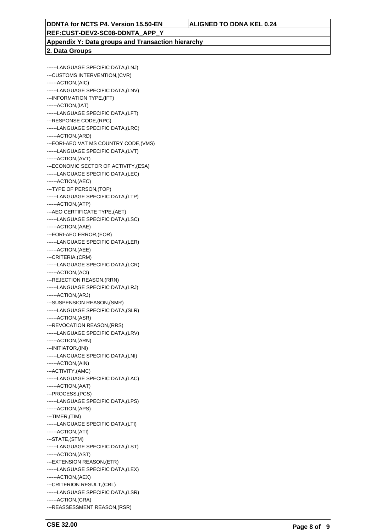### **REF:CUST-DEV2-SC08-DDNTA\_APP\_Y**

### **Appendix Y: Data groups and Transaction hierarchy 2. Data Groups**

------LANGUAGE SPECIFIC DATA,(LNJ) ---CUSTOMS INTERVENTION,(CVR) ------ACTION,(AIC) ------LANGUAGE SPECIFIC DATA,(LNV) ---INFORMATION TYPE,(IFT) ------ACTION,(IAT) ------LANGUAGE SPECIFIC DATA,(LFT) ---RESPONSE CODE,(RPC) ------LANGUAGE SPECIFIC DATA,(LRC) ------ACTION,(ARD) ---EORI-AEO VAT MS COUNTRY CODE,(VMS) ------LANGUAGE SPECIFIC DATA,(LVT) ------ACTION,(AVT) ---ECONOMIC SECTOR OF ACTIVITY,(ESA) ------LANGUAGE SPECIFIC DATA,(LEC) ------ACTION,(AEC) ---TYPE OF PERSON,(TOP) ------LANGUAGE SPECIFIC DATA,(LTP) ------ACTION,(ATP) ---AEO CERTIFICATE TYPE,(AET) ------LANGUAGE SPECIFIC DATA,(LSC) ------ACTION,(AAE) ---EORI-AEO ERROR,(EOR) ------LANGUAGE SPECIFIC DATA,(LER) ------ACTION,(AEE) ---CRITERIA,(CRM) ------LANGUAGE SPECIFIC DATA,(LCR) ------ACTION,(ACI) ---REJECTION REASON,(RRN) ------LANGUAGE SPECIFIC DATA,(LRJ) ------ACTION,(ARJ) ---SUSPENSION REASON,(SMR) ------LANGUAGE SPECIFIC DATA,(SLR) ------ACTION,(ASR) ---REVOCATION REASON,(RRS) ------LANGUAGE SPECIFIC DATA,(LRV) ------ACTION,(ARN) ---INITIATOR,(INI) ------LANGUAGE SPECIFIC DATA,(LNI) ------ACTION,(AIN) ---ACTIVITY,(AMC) ------LANGUAGE SPECIFIC DATA,(LAC) ------ACTION,(AAT) ---PROCESS,(PCS) ------LANGUAGE SPECIFIC DATA,(LPS) ------ACTION,(APS) ---TIMER,(TIM) ------LANGUAGE SPECIFIC DATA,(LTI) ------ACTION,(ATI) ---STATE,(STM) ------LANGUAGE SPECIFIC DATA,(LST) ------ACTION,(AST) ---EXTENSION REASON,(ETR) ------LANGUAGE SPECIFIC DATA,(LEX) ------ACTION,(AEX) ---CRITERION RESULT,(CRL) ------LANGUAGE SPECIFIC DATA,(LSR) ------ACTION,(CRA) ---REASSESSMENT REASON,(RSR)